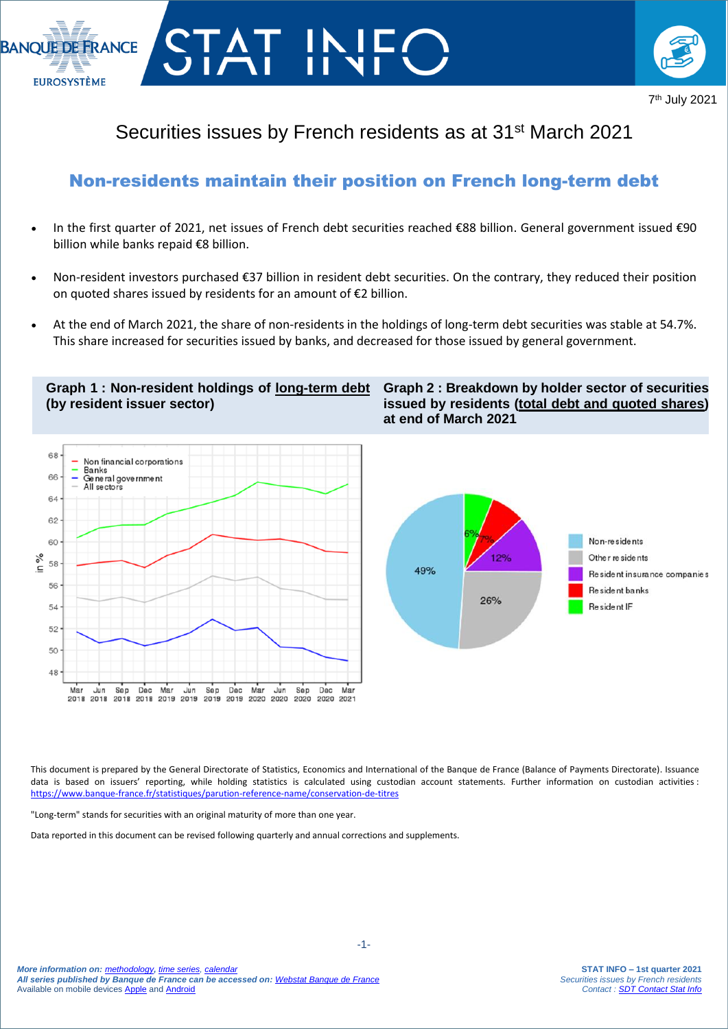



## Securities issues by French residents as at 31<sup>st</sup> March 2021

### Non-residents maintain their position on French long-term debt

- In the first quarter of 2021, net issues of French debt securities reached €88 billion. General government issued €90 billion while banks repaid €8 billion.
- Non-resident investors purchased €37 billion in resident debt securities. On the contrary, they reduced their position on quoted shares issued by residents for an amount of €2 billion.
- At the end of March 2021, the share of non-residents in the holdings of long-term debt securities was stable at 54.7%. This share increased for securities issued by banks, and decreased for those issued by general government.

### **Graph 1 : Non-resident holdings of long-term debt (by resident issuer sector)**







This document is prepared by the General Directorate of Statistics, Economics and International of the Banque de France (Balance of Payments Directorate). Issuance data is based on issuers' reporting, while holding statistics is calculated using custodian account statements. Further information on custodian activities : <https://www.banque-france.fr/statistiques/parution-reference-name/conservation-de-titres>

"Long-term" stands for securities with an original maturity of more than one year.

I

Data reported in this document can be revised following quarterly and annual corrections and supplements.